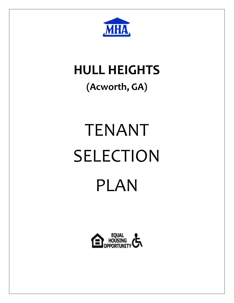

## **HULL HEIGHTS**

### **(Acworth, GA)**

# TENANT SELECTION PLAN

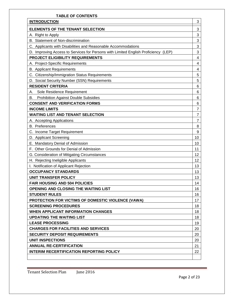| <b>TABLE OF CONTENTS</b>                                                           |                         |
|------------------------------------------------------------------------------------|-------------------------|
| <b>INTRODUCTION</b>                                                                | 3                       |
| ELEMENTS OF THE TENANT SELECTION                                                   | 3                       |
| A. Right to Apply                                                                  | 3                       |
| B. Statement of Non-discrimination                                                 | 3                       |
| C. Applicants with Disabilities and Reasonable Accommodations                      | $\sqrt{3}$              |
| D. Improving Access to Services for Persons with Limited English Proficiency (LEP) | $\sqrt{3}$              |
| <b>PROJECT ELIGIBILITY REQUIREMENTS</b>                                            | 4                       |
| A. Project-Specific Requirements                                                   | 4                       |
| <b>B.</b> Applicant Requirements                                                   | $\overline{\mathbf{4}}$ |
| C. Citizenship/Immigration Status Requirements                                     | 5                       |
| D. Social Security Number (SSN) Requirements                                       | 5                       |
| <b>RESIDENT CRITERIA</b>                                                           | 6                       |
| Sole Residence Requirement<br>Α.                                                   | $6\phantom{1}6$         |
| <b>Prohibition Against Double Subsidies</b><br>В.                                  | 6                       |
| <b>CONSENT AND VERIFICATION FORMS</b>                                              | $6\phantom{1}6$         |
| <b>INCOME LIMITS</b>                                                               | $\overline{7}$          |
| <b>WAITING LIST AND TENANT SELECTION</b>                                           | $\overline{7}$          |
| A. Accepting Applications                                                          | $\overline{7}$          |
| <b>B.</b> Preferences                                                              | 8                       |
| C. Income Target Requirement                                                       | 9                       |
| D. Applicant Screening                                                             | 10                      |
| E. Mandatory Denial of Admission                                                   | 10                      |
| F. Other Grounds for Denial of Admission                                           | 11                      |
| G. Consideration of Mitigating Circumstances                                       | 12                      |
| H. Rejecting Ineligible Applicants                                                 | 12                      |
| I. Notification of Applicant Rejection                                             | 13                      |
| <b>OCCUPANCY STANDARDS</b>                                                         | 13                      |
| <b>UNIT TRANSFER POLICY</b>                                                        | 13                      |
| <b>FAIR HOUSING AND 504 POLICIES</b>                                               | 14                      |
| OPENING AND CLOSING THE WAITING LIST                                               | 16                      |
| <b>STUDENT RULES</b>                                                               | 16                      |
| <b>PROTECTION FOR VICTIMS OF DOMESTIC VIOLENCE (VAWA)</b>                          | 17                      |
| <b>SCREENING PROCEDURES</b>                                                        | 18                      |
| <b>WHEN APPLICANT INFORMATION CHANGES</b>                                          | 18                      |
| <b>UPDATING THE WAITING LIST</b>                                                   | 18                      |
| <b>LEASE PROCESSING</b>                                                            | 19                      |
| <b>CHARGES FOR FACILITIES AND SERVICES</b>                                         | 20                      |
| <b>SECURITY DEPOSIT REQUIREMENTS</b>                                               | 20                      |
| UNIT INSPECTIONS                                                                   | 20                      |
| <b>ANNUAL RE-CERTIFICATION</b>                                                     | 21                      |
| <b>INTERIM RECERTIFICATION REPORTING POLICY</b>                                    | 22                      |
|                                                                                    |                         |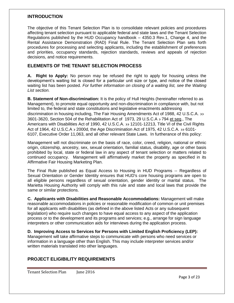#### **INTRODUCTION**

The objective of this Tenant Selection Plan is to consolidate relevant policies and procedures affecting tenant selection pursuant to applicable federal and state laws and the Tenant Selection Regulations published by the HUD Occupancy handbook – 4350.3 Rev.1, Change 4, and the Rental Assistance Demonstration (RAD) Final Rule. The Tenant Selection Plan sets forth procedures for processing and selecting applicants, including the establishment of preferences and priorities, occupancy standards, rejection standards, reviews and appeals of rejection decisions, and notice requirements.

#### **ELEMENTS OF THE TENANT SELECTION PROCESS**

**A. Right to Apply:** No person may be refused the right to apply for housing unless the development's waiting list is closed for a particular unit size or type, and notice of the closed waiting list has been posted. *For further information on closing of a waiting list, see the Waiting List section.* 

**B. Statement of Non-discrimination:** It is the policy of Hull Heights (hereinafter referred to as Management), to promote equal opportunity and non-discrimination in compliance with, but not limited to, the federal and state constitutions and legislative enactments addressing discrimination in housing including, The Fair Housing Amendments Act of 1988, 42 U.S.C.A. 3601-3620, Section 504 of the Rehabilitation Act of 1973, 29 U.S.C.A  $\overline{2}$  794 et seq., The Americans with Disabilities Act of 1990, 42 U.S.C.A. 33 12101-12213, Title VI of the Civil Rights Act of 1964, 42 U.S.C.A  $\frac{1}{2}$  2000d, the Age Discrimination Act of 1975, 42 U.S.C.A.  $\frac{1}{2}$  6101-6107, Executive Order 11,063, and all other relevant State Laws. In furtherance of this policy:

Management will not discriminate on the basis of race, color, creed, religion, national or ethnic origin, citizenship, ancestry, sex, sexual orientation, familial status, disability, age or other basis prohibited by local, state or federal law in any aspect of tenant selection or matters related to continued occupancy. Management will affirmatively market the property as specified in its Affirmative Fair Housing Marketing Plan.

The Final Rule published as Equal Access to Housing in HUD Programs -- Regardless of Sexual Orientation or Gender Identity ensures that HUD's core housing programs are open to all eligible persons regardless of sexual orientation, gender identity or marital status. The Marietta Housing Authority will comply with this rule and state and local laws that provide the same or similar protections.

**C. Applicants with Disabilities and Reasonable Accommodations:** Management will make reasonable accommodations in policies or reasonable modification of common or unit premises for all applicants with disabilities (as defined in the above listed Acts or any subsequent legislation) who require such changes to have equal access to any aspect of the application process or to the development and its programs and services; e.g., arrange for sign language interpreters or other communication aids for interviews during the application process.

**D. Improving Access to Services for Persons with Limited English Proficiency (LEP):**  Management will take affirmative steps to communicate with persons who need services or information in a language other than English. This may include interpreter services and/or written materials translated into other languages.

#### **PROJECT ELIGIBILITY REQUIREMENTS**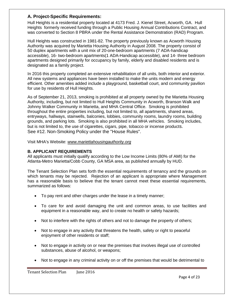#### **A. Project-Specific Requirements:**

Hull Heights is a residential property located at 4173 Fred. J. Kienel Street, Acworth, GA. Hull Heights formerly received funding through a Public Housing Annual Contributions Contract, and was converted to Section 8 PBRA under the Rental Assistance Demonstration (RAD) Program.

Hull Heights was constructed in 1981-82. The property previously known as Acworth Housing Authority was acquired by Marietta Housing Authority in August 2008. The property consist of 50 duplex apartments with a unit mix of 20-one-bedroom apartments (7 ADA-handicap accessible), 16- two-bedroom apartments(1 ADA-Handicap accessible), and 14- three bedroom apartments designed primarily for occupancy by family, elderly and disabled residents and is designated as a family project.

In 2016 this property completed an extensive rehabilitation of all units, both interior and exterior. All new systems and appliances have been installed to make the units modern and energy efficient. Other amenities added include a playground, basketball court, and community pavilion for use by residents of Hull Heights.

As of September 21, 2013, smoking is prohibited at all property owned by the Marietta Housing Authority, including, but not limited to Hull Heights Community in Acworth, Branson Walk and Johnny Walker Community in Marietta, and MHA Central Office. Smoking is prohibited throughout the entire properties including, but not limited to, all apartments, shared areas, entryways, hallways, stairwells, balconies, lobbies, community rooms, laundry rooms, building grounds, and parking lots. Smoking is also prohibited in all MHA vehicles. Smoking includes, but is not limited to, the use of cigarettes, cigars, pipe, tobacco or incense products. See #12. Non-Smoking Policy under the "House Rules".

Visit MHA's Website: *www.mariettahousingauthority.org*

#### **B. APPLICANT REQUIREMENTS**

All applicants must initially qualify according to the Low Income Limits (80% of AMI) for the Atlanta-Metro Marietta/Cobb County, GA MSA area, as published annually by HUD.

The Tenant Selection Plan sets forth the essential requirements of tenancy and the grounds on which tenants may be rejected. Rejection of an applicant is appropriate where Management has a reasonable basis to believe that the tenant cannot meet these essential requirements, summarized as follows:

- To pay rent and other charges under the lease in a timely manner;
- To care for and avoid damaging the unit and common areas, to use facilities and equipment in a reasonable way, and to create no health or safety hazards;
- Not to interfere with the rights of others and not to damage the property of others;
- Not to engage in any activity that threatens the health, safety or right to peaceful enjoyment of other residents or staff;
- Not to engage in activity on or near the premises that involves illegal use of controlled substances, abuse of alcohol, or weapons;
- Not to engage in any criminal activity on or off the premises that would be detrimental to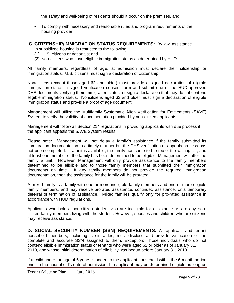the safety and well-being of residents should it occur on the premises, and

 To comply with necessary and reasonable rules and program requirements of the housing provider.

#### **C. CITIZENSHIP/IMMIGRATION STATUS REQUIREMENTS:** By law, assistance

- in subsidized housing is restricted to the following:
- (1) U.S. citizens or nationals; and
- (2) Non-citizens who have eligible immigration status as determined by HUD.

All family members, regardless of age, at admission must declare their citizenship or immigration status. U.S. citizens must sign a declaration of citizenship.

Noncitizens (except those aged 62 and older) must provide a signed declaration of eligible immigration status, a signed verification consent form and submit one of the HUD-approved DHS documents verifying their immigration status, or sign a declaration that they do not contend eligible immigration status. Noncitizens aged 62 and older must sign a declaration of eligible immigration status and provide a proof of age document.

Management will utilize the Multifamily Systematic Alien Verification for Entitlements (SAVE) System to verify the validity of documentation provided by non-citizen applicants.

Management will follow all Section 214 regulations in providing applicants with due process if the applicant appeals the SAVE System results.

Please note: Management will not delay a family's assistance if the family submitted its immigration documentation in a timely manner but the DHS verification or appeals process has not been completed. If a unit is available, the family has come to the top of the waiting list, and at least one member of the family has been determined to be eligible, Management will offer the family a unit. However, Management will only provide assistance to the family members determined to be eligible and to those family members that submitted their immigration documents on time. If any family members do not provide the required immigration documentation, then the assistance for the family will be prorated.

A mixed family is a family with one or more ineligible family members and one or more eligible family members, and may receive prorated assistance, continued assistance, or a temporary deferral of termination of assistance. Mixed families qualify only for pro-rated assistance in accordance with HUD regulations.

Applicants who hold a non-citizen student visa are ineligible for assistance as are any noncitizen family members living with the student. However, spouses and children who are citizens may receive assistance.

**D. SOCIAL SECURITY NUMBER (SSN) REQUIREMENTS:** All applicant and tenant household members, including live-in aides, must disclose and provide verification of the complete and accurate SSN assigned to them. Exception: Those individuals who do not contend eligible immigration status or tenants who were aged 62 or older as of January 31, 2010, and whose initial determination of eligibility was begun before January 31, 2010.

If a child under the age of 6 years is added to the applicant household within the 6-month period prior to the household's date of admission, the applicant may be determined eligible as long as

Tenant Selection Plan June 2016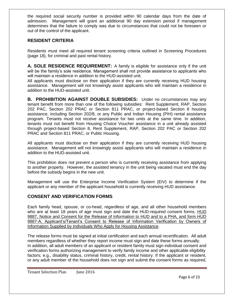the required social security number is provided within 90 calendar days from the date of admission. Management will grant an additional 90 day extension period if management determines that the failure to comply was due to circumstances that could not be foreseen or out of the control of the applicant.

#### **RESIDENT CRITERIA**

Residents must meet all required tenant screening criteria outlined in Screening Procedures (page 18), for criminal and past rental history.

**A. SOLE RESIDENCE REQUIREMENT:** A family is eligible for assistance only if the unit will be the family's sole residence. Management shall not provide assistance to applicants who will maintain a residence in addition to the HUD-assisted unit.

All applicants must disclose on their application if they are currently receiving HUD housing assistance. Management will not knowingly assist applicants who will maintain a residence in addition to the HUD-assisted unit.

**B. PROHIBITION AGAINST DOUBLE SUBSIDIES:** Under no circumstances may any tenant benefit from more than one of the following subsidies: Rent Supplement, RAP, Section 202 PAC, Section 202 PRAC or Section 811 PRAC, or project-based Section 8 housing assistance, including Section 202/8, or any Public and Indian Housing (PIH) rental assistance program. Tenants must not receive assistance for two units at the same time. In addition, tenants must not benefit from Housing Choice Voucher assistance in a unit already assisted through project-based Section 8, Rent Supplement, RAP, Section 202 PAC or Section 202 PRAC and Section 811 PRAC, or Public Housing.

All applicants must disclose on their application if they are currently receiving HUD housing assistance. Management will not knowingly assist applicants who will maintain a residence in addition to the HUD-assisted unit.

This prohibition does not prevent a person who is currently receiving assistance from applying to another property. However, the assisted tenancy in the unit being vacated must end the day before the subsidy begins in the new unit.

Management will use the Enterprise Income Verification System (EIV) to determine if the applicant or any member of the applicant household is currently receiving HUD assistance.

#### **CONSENT AND VERIFICATION FORMS**

Each family head, spouse, or co-head, regardless of age, and all other household members who are at least 18 years of age must sign and date the HUD-required consent forms, HUD 9887, Notice and Consent for the Release of Information to HUD and to a PHA, and form HUD 9887-A, Applicant's/Tenant's Consent to Release of Information Verification by Owners of Information Supplied by Individuals Who Apply for Housing Assistance.

The release forms must be signed at initial certification and each annual recertification. All adult members regardless of whether they report income must sign and date these forms annually. In addition, all adult members of an applicant or resident family must sign individual consent and verification forms authorizing management to verify family income and other applicable eligibility factors; e.g., disability status, criminal history, credit, rental history. If the applicant or resident, or any adult member of the household does not sign and submit the consent forms as required,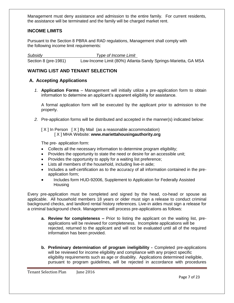Management must deny assistance and admission to the entire family. For current residents, the assistance will be terminated and the family will be charged market rent.

#### **INCOME LIMITS**

Pursuant to the Section 8 PBRA and RAD regulations, Management shall comply with the following income limit requirements:

*Subsidy Type of Income Limit* Section 8 (pre-1981) Low-Income Limit (80%) Atlanta-Sandy Springs-Marietta, GA MSA

#### **WAITING LIST AND TENANT SELECTION**

#### **A. Accepting Applications**

*1.* **Application Forms** – Management will initially utilize a pre-application form to obtain information to determine an applicant's apparent eligibility for assistance.

A formal application form will be executed by the applicant prior to admission to the property.

*2.* Pre-application forms will be distributed and accepted in the manner(s) indicated below:

[ X ] In Person [ X ] By Mail (as a reasonable accommodation) [ X ] MHA Website: **www.mariettahousingauthority.org**

The pre- application form:

- Collects all the necessary information to determine program eligibility;
- Provides the opportunity to state the need or desire for an accessible unit;
- Provides the opportunity to apply for a waiting list preference;
- Lists all members of the household, including live-in aide;
- Includes a self-certification as to the accuracy of all information contained in the preapplication form;
- Includes form HUD-92006, Supplement to Application for Federally Assisted **Housing**

Every pre-application must be completed and signed by the head, co-head or spouse as applicable. All household members 18 years or older must sign a release to conduct criminal background checks, and landlord rental history references. Live-in aides must sign a release for a criminal background check. Management will process pre-applications as follows:

- **a. Review for completeness –** Prior to listing the applicant on the waiting list, preapplications will be reviewed for completeness. Incomplete applications will be rejected, returned to the applicant and will not be evaluated until all of the required information has been provided.
- **b. Preliminary determination of program ineligibility -** Completed pre-applications will be reviewed for income eligibility and compliance with any project specific eligibility requirements such as age or disability. Applications determined ineligible, pursuant to program guidelines, will be rejected in accordance with procedures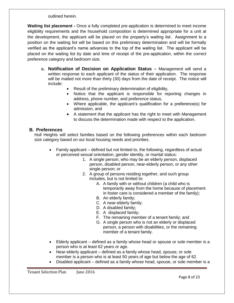outlined herein.

**Waiting list placement -** Once a fully completed pre-application is determined to meet income eligibility requirements and the household composition is determined appropriate for a unit at the development, the applicant will be placed on the property's waiting list. Assignment to a position on the waiting list will be based on this preliminary determination and will be formally verified as the applicant's name advances to the top of the waiting list. The applicant will be placed on the waiting list by date and time of receipt of the pre-application, within the correct preference category and bedroom size.

- **c. Notification of Decision on Application Status** Management will send a written response to each applicant of the status of their application. The response will be mailed not more than thirty (30) days from the date of receipt. The notice will include:
	- Result of the preliminary determination of eligibility,
	- Notice that the applicant is responsible for reporting changes in address, phone number, and preference status,
	- Where applicable, the applicant's qualification for a preference(s) for admission, and
	- A statement that the applicant has the right to meet with Management to discuss the determination made with respect to the application.

#### **B. Preferences**

Hull Heights will select families based on the following preferences within each bedroom size category based on our local housing needs and priorities.

- Family applicant defined but not limited to, the following, regardless of actual or perceived sexual orientation, gender identity, or marital status:
	- 1. A single person, who may be an elderly person, displaced person, disabled person, near-elderly person, or any other single person; or
	- 2. A group of persons residing together, and such group includes, but is not limited to:
		- A. A family with or without children (a child who is temporarily away from the home because of placement in foster care is considered a member of the family);
		- B. An elderly family;
		- C. A near-elderly family;
		- D. A disabled family;
		- E. A displaced family;
		- F. The remaining member of a tenant family; and
		- G. A single person who is not an elderly or displaced person, a person with disabilities, or the remaining member of a tenant family.
- Elderly applicant defined as a family whose head or spouse or sole member is a person who is at least 62 years or age.
- Near-elderly applicant defined as a family whose head, spouse, or sole member is a person who is at least 50 years of age but below the age of 62.
- Disabled applicant defined as a family whose head, spouse, or sole member is a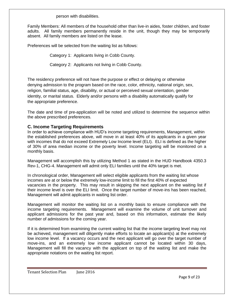person with disabilities.

Family Members: All members of the household other than live-in aides, foster children, and foster adults. All family members permanently reside in the unit, though they may be temporarily absent. All family members are listed on the lease.

Preferences will be selected from the waiting list as follows:

Category 1: Applicants living in Cobb County.

Category 2: Applicants not living in Cobb County.

The residency preference will not have the purpose or effect or delaying or otherwise denying admission to the program based on the race, color, ethnicity, national origin, sex, religion, familial status, age, disability, or actual or perceived sexual orientation, gender identity, or marital status. Elderly and/or persons with a disability automatically qualify for the appropriate preference.

The date and time of pre-application will be noted and utilized to determine the sequence within the above prescribed preferences.

#### **C. Income Targeting Requirements**

In order to achieve compliance with HUD's income targeting requirements, Management, within the established preferences above, will move in at least 40% of its applicants in a given year with incomes that do not exceed Extremely Low Income level (ELI). ELI is defined as the higher of 30% of area median income or the poverty level. Income targeting will be monitored on a monthly basis.

Management will accomplish this by utilizing Method 1 as stated in the HUD Handbook 4350.3 Rev-1, CHG-4. Management will admit only ELI families until the 40% target is met.

In chronological order, Management will select eligible applicants from the waiting list whose incomes are at or below the extremely low-income limit to fill the first 40% of expected vacancies in the property. This may result in skipping the next applicant on the waiting list if their income level is over the ELI limit. Once the target number of move-ins has been reached, Management will admit applicants in waiting list order.

Management will monitor the waiting list on a monthly basis to ensure compliance with the income targeting requirements. Management will examine the volume of unit turnover and applicant admissions for the past year and, based on this information, estimate the likely number of admissions for the coming year.

If it is determined from examining the current waiting list that the income targeting level may not be achieved, management will diligently make efforts to locate an applicant(s) at the extremely low income level. If a vacancy occurs and the next applicant will go over the target number of move-ins, and an extremely low income applicant cannot be located within 30 days, Management will fill the vacancy with the applicant on top of the waiting list and make the appropriate notations on the waiting list report.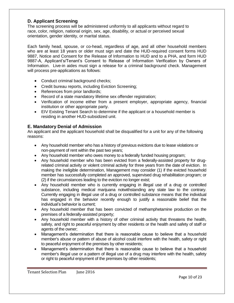#### **D. Applicant Screening**

The screening process will be administered uniformly to all applicants without regard to race, color, religion, national origin, sex, age, disability, or actual or perceived sexual orientation, gender identity, or marital status.

Each family head, spouse, or co-head, regardless of age, and all other household members who are at least 18 years or older must sign and date the HUD-required consent forms HUD 9887, Notice and Consent for the Release of Information to HUD and to a PHA, and form HUD 9887-A, Applicant's/Tenant's Consent to Release of Information Verification by Owners of Information. Live-in aides must sign a release for a criminal background check. Management will process pre-applications as follows:

- Conduct criminal background checks;
- Credit bureau reports, including Eviction Screening;
- References from prior landlords;
- Record of a state mandatory lifetime sex offender registration;
- Verification of income either from a present employer, appropriate agency, financial institution or other appropriate party.
- EIV Existing Tenant Search to determine if the applicant or a household member is residing in another HUD-subsidized unit.

#### **E. Mandatory Denial of Admission**

An applicant and the applicant household shall be disqualified for a unit for any of the following reasons:

- Any household member who has a history of previous evictions due to lease violations or non-payment of rent within the past two years;
- Any household member who owes money to a federally funded housing program;
- Any household member who has been evicted from a federally-assisted property for drugrelated criminal activity or violent criminal activity for three years from the date of eviction. In making the ineligible determination, Management may consider (1) if the evicted household member has successfully completed an approved, supervised drug rehabilitation program; or (2) if the circumstances leading to the eviction no longer exist;
- Any household member who is currently engaging in illegal use of a drug or controlled substance, including medical marijuana notwithstanding any state law to the contrary. Currently engaging in illegal use of a drug or controlled substance means that the individual has engaged in the behavior recently enough to justify a reasonable belief that the individual's behavior is current;
- Any household member that has been convicted of methamphetamine production on the premises of a federally-assisted property;
- Any household member with a history of other criminal activity that threatens the health, safety, and right to peaceful enjoyment by other residents or the health and safety of staff or agents of the owner;
- Management's determination that there is reasonable cause to believe that a household member's abuse or pattern of abuse of alcohol could interfere with the health, safety or right to peaceful enjoyment of the premises by other residents;
- Management's determination that there is reasonable cause to believe that a household member's illegal use or a pattern of illegal use of a drug may interfere with the health, safety or right to peaceful enjoyment of the premises by other residents;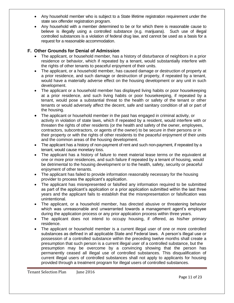- Any household member who is subject to a State lifetime registration requirement under the state sex offender registration program.
- Any household with a member determined to be or for which there is reasonable cause to believe is illegally using a controlled substance (e.g. marijuana). Such use of illegal controlled substances is a violation of federal drug law, and cannot be used as a basis for a request for a reasonable accommodation.

#### **F. Other Grounds for Denial of Admission**

- The applicant, or household member, has a history of disturbance of neighbors in a prior residence or behavior, which if repeated by a tenant, would substantially interfere with the rights of other tenants to peaceful enjoyment of their units.
- The applicant, or a household member, has caused damage or destruction of property at a prior residence, and such damage or destruction of property, if repeated by a tenant, would have a materially adverse effect on the housing development or any unit in such development.
- The applicant or a household member has displayed living habits or poor housekeeping at a prior residence, and such living habits or poor housekeeping, if repeated by a tenant, would pose a substantial threat to the health or safety of the tenant or other tenants or would adversely affect the decent, safe and sanitary condition of all or part of the housing.
- The applicant or household member in the past has engaged in criminal activity, or activity in violation of state laws, which if repeated by a resident, would interfere with or threaten the rights of other residents (or the health and safety of the owner, employees, contractors, subcontractors, or agents of the owner) to be secure in their persons or in their property or with the rights of other residents to the peaceful enjoyment of their units and the common areas of the housing development.
- The applicant has a history of non-payment of rent and such non-payment, if repeated by a tenant, would cause monetary loss.
- The applicant has a history of failure to meet material lease terms or the equivalent at one or more prior residences, and such failure if repeated by a tenant of housing, would be detrimental to the housing development or to the health, safety, security or peaceful enjoyment of other tenants.
- The applicant has failed to provide information reasonably necessary for the housing provider to process the applicant's application.
- The applicant has misrepresented or falsified any information required to be submitted as part of the applicant's application or a prior application submitted within the last three years and the applicant fails to establish that the misrepresentation or falsification was unintentional.
- The applicant, or a household member, has directed abusive or threatening behavior which was unreasonable and unwarranted towards a management agent's employee during the application process or any prior application process within three years.
- The applicant does not intend to occupy housing, if offered, as his/her primary residence.
- The applicant or household member is a current illegal user of one or more controlled substances as defined in all applicable State and Federal laws. A person's illegal use or possession of a controlled substance within the preceding twelve months shall create a presumption that such person is a current illegal user of a controlled substance, but the presumption may be overcome by a convincing showing that the person has permanently ceased all illegal use of controlled substances. This disqualification of current illegal users of controlled substances shall not apply to applicants for housing provided through a treatment program for illegal users of controlled substances.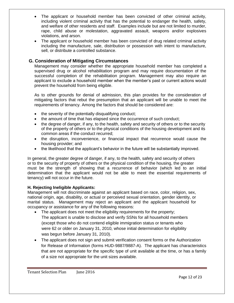- The applicant or household member has been convicted of other criminal activity, including violent criminal activity that has the potential to endanger the health, safety, and welfare of other residents and staff. Examples include but are not limited to murder, rape, child abuse or molestation, aggravated assault, weapons and/or explosives violations, and arson.
- The applicant or household member has been convicted of drug related criminal activity including the manufacture, sale, distribution or possession with intent to manufacture, sell, or distribute a controlled substance.

#### **G. Consideration of Mitigating Circumstances**

Management may consider whether the appropriate household member has completed a supervised drug or alcohol rehabilitation program and may require documentation of the successful completion of the rehabilitation program. Management may also require an applicant to exclude a household member when the member's past or current actions would prevent the household from being eligible.

As to other grounds for denial of admission, this plan provides for the consideration of mitigating factors that rebut the presumption that an applicant will be unable to meet the requirements of tenancy. Among the factors that should be considered are:

- the severity of the potentially disqualifying conduct;
- the amount of time that has elapsed since the occurrence of such conduct;
- the degree of danger, if any, to the health, safety and security of others or to the security of the property of others or to the physical conditions of the housing development and its common areas if the conduct recurred;
- the disruption, inconvenience, or financial impact that recurrence would cause the housing provider; and
- the likelihood that the applicant's behavior in the future will be substantially improved.

In general, the greater degree of danger, if any, to the health, safety and security of others or to the security of property of others or the physical condition of the housing, the greater must be the strength of showing that a recurrence of behavior (which led to an initial determination that the applicant would not be able to meet the essential requirements of tenancy) will not occur in the future.

#### **H. Rejecting Ineligible Applicants:**

Management will not discriminate against an applicant based on race, color, religion, sex, national origin, age, disability, or actual or perceived sexual orientation, gender identity, or marital status. Management may reject an applicant and the applicant household for occupancy or assistance for any of the following reasons:

- The applicant does not meet the eligibility requirements for the property; The applicant is unable to disclose and verify SSNs for all household members (except those who do not contend eligible immigration status or tenants who were 62 or older on January 31, 2010, whose initial determination for eligibility was begun before January 31, 2010).
- The applicant does not sign and submit verification consent forms or the Authorization for Release of Information (forms HUD-9887/9887-A). The applicant has characteristics that are not appropriate for the specific type of unit available at the time, or has a family of a size not appropriate for the unit sizes available.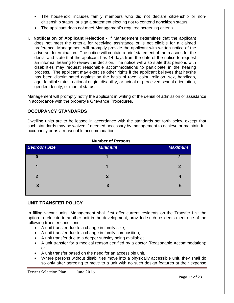- The household includes family members who did not declare citizenship or noncitizenship status, or sign a statement electing not to contend noncitizen status.
- The applicant does not meet Management's required screening criteria.
- **I. Notification of Applicant Rejection -** If Management determines that the applicant does not meet the criteria for receiving assistance or is not eligible for a claimed preference, Management will promptly provide the applicant with written notice of the adverse determination. The notice will contain a brief statement of the reasons for the denial and state that the applicant has 14 days from the date of the notice to request an informal hearing to review the decision. The notice will also state that persons with disabilities may request reasonable accommodations to participate in the hearing process. The applicant may exercise other rights if the applicant believes that he/she has been discriminated against on the basis of race, color, religion, sex, handicap, age, familial status, national origin, disability, or actual or perceived sexual orientation, gender identity, or marital status.

Management will promptly notify the applicant in writing of the denial of admission or assistance in accordance with the property's Grievance Procedures.

#### **OCCUPANCY STANDARDS**

Dwelling units are to be leased in accordance with the standards set forth below except that such standards may be waived if deemed necessary by management to achieve or maintain full occupancy or as a reasonable accommodation:

| <b>INAILINGLAILE</b> |                |                            |  |
|----------------------|----------------|----------------------------|--|
| <b>Bedroom Size</b>  | <b>Minimum</b> | <b>Maximum</b>             |  |
| $\boldsymbol{0}$     |                | $\boldsymbol{\mathcal{P}}$ |  |
| 1                    | 1              | 2                          |  |
| $\mathbf{2}$         | $\overline{2}$ |                            |  |
| 3                    | 3              | 6                          |  |
|                      |                |                            |  |

#### **Number of Persons**

#### **UNIT TRANSFER POLICY**

In filling vacant units, Management shall first offer current residents on the Transfer List the option to relocate to another unit in the development, provided such residents meet one of the following transfer conditions:

- A unit transfer due to a change in family size;
- A unit transfer due to a change in family composition;
- A unit transfer due to a deeper subsidy being available;
- A unit transfer for a medical reason certified by a doctor (Reasonable Accommodation);  $\alpha$ r
- A unit transfer based on the need for an accessible unit.
- Where persons without disabilities move into a physically accessible unit, they shall do so only after agreeing to move to a unit with no such design features at their expense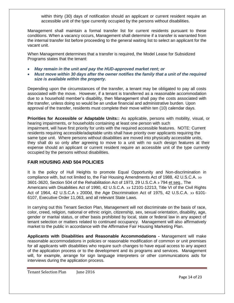within thirty (30) days of notification should an applicant or current resident require an accessible unit of the type currently occupied by the persons without disabilities.

Management shall maintain a formal transfer list for current residents pursuant to these conditions. When a vacancy occurs, Management shall determine if a transfer is warranted from the internal transfer list before proceeding to the general waiting list to select an applicant for the vacant unit.

When Management determines that a transfer is required, the Model Lease for Subsidized Programs states that the tenant:

- *May remain in the unit and pay the HUD-approved market rent; or*
- *Must move within 30 days after the owner notifies the family that a unit of the required size is available within the property.*

Depending upon the circumstances of the transfer, a tenant may be obligated to pay all costs associated with the move. However, if a tenant is transferred as a reasonable accommodation due to a household member's disability, then Management shall pay the costs associated with the transfer, unless doing so would be an undue financial and administrative burden. Upon approval of the transfer, residents must complete their move within ten (10) calendar days.

**Priorities for Accessible or Adaptable Units::** As applicable, persons with mobility, visual, or hearing impairments, or households containing at least one person with such impairment, will have first priority for units with the required accessible features. NOTE: Current residents requiring accessible/adaptable units shall have priority over applicants requiring the same type unit. Where persons without disabilities are moved into physically accessible units, they shall do so only after agreeing to move to a unit with no such design features at their expense should an applicant or current resident require an accessible unit of the type currently occupied by the persons without disabilities.

#### **FAIR HOUSING AND 504 POLICIES**

It is the policy of Hull Heights to promote Equal Opportunity and Non-discrimination in compliance with, but not limited to, the Fair Housing Amendments Act of 1988, 42 U.S.C.A. 3601-3620, Section 504 of the Rehabilitation Act of 1973, 29 U.S.C.A  $\frac{1}{2}$  794 et seq., The Americans with Disabilities Act of 1990, 42 U.S.C.A. 33 12101-12213, Title VI of the Civil Rights Act of 1964, 42 U.S.C.A  $\overline{2}$  2000d, the Age Discrimination Act of 1975, 42 U.S.C.A.  $\overline{2}$  6101-6107, Executive Order 11,063, and all relevant State Laws.

In carrying out this Tenant Section Plan, Management will not discriminate on the basis of race, color, creed, religion, national or ethnic origin, citizenship, sex, sexual orientation, disability, age, gender or marital status, or other basis prohibited by local, state or federal law in any aspect of tenant selection or matters related to continued occupancy. Management will also affirmatively market to the public in accordance with the Affirmative Fair Housing Marketing Plan.

**Applicants with Disabilities and Reasonable Accommodations -** Management will make reasonable accommodations in policies or reasonable modification of common or unit premises for all applicants with disabilities who require such changes to have equal access to any aspect of the application process or to the development and its programs and services. Management will, for example, arrange for sign language interpreters or other communications aids for interviews during the application process.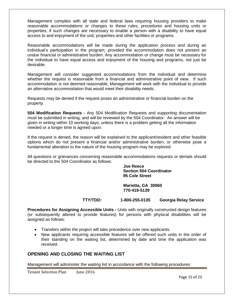Management complies with all state and federal laws requiring housing providers to make reasonable accommodations or changes to these rules, procedures and housing units or properties, if such changes are necessary to enable a person with a disability to have equal access to and enjoyment of the unit, properties and other facilities or programs.

Reasonable accommodations will be made during the application process and during an individual's participation in the program; provided the accommodation does not present an undue financial or administrative burden. Any accommodation or change must be necessary for the individual to have equal access and enjoyment of the housing and programs, not just be desirable.

Management will consider suggested accommodations from the individual and determine whether the request is reasonable from a financial and administrative point of view. If such accommodation is not deemed reasonable, Management will work with the individual to provide an alternative accommodation that would meet their disability needs.

Requests may be denied if the request poses an administrative or financial burden on the property.

**504 Modification Requests -** Any 504 Modification Requests and supporting documentation must be submitted in writing, and will be reviewed by the 504 Coordinator. An answer will be given in writing within 10 working days, unless there is a problem getting all the information needed or a longer time is agreed upon.

If the request is denied, the reason will be explained to the applicant/resident and other feasible options which do not present a financial and/or administrative burden, or otherwise pose a fundamental alteration to the nature of the housing program may be explored.

All questions or grievances concerning reasonable accommodations requests or denials should be directed to the 504 Coordinator as follows:

 **Joe Reece Section 504 Coordinator 95 Cole Street**

 **Marietta, GA 30060 770-419-5139**

**TTY/TDD: 1-800-255-0135 Georgia Relay Service**

**Procedures for Assigning Accessible Units -** Units with originally constructed design features (or subsequently altered to provide features) for persons with physical disabilities will be assigned as follows:

- Transfers within the project will take precedence over new applicants.
- New applicants requiring accessible features will be offered such units in the order of their standing on the waiting list, determined by date and time the application was received.

#### **OPENING AND CLOSING THE WAITING LIST**

Management will administer the waiting list in accordance with the following procedures:

Tenant Selection Plan June 2016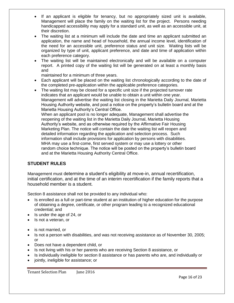- If an applicant is eligible for tenancy, but no appropriately sized unit is available, Management will place the family on the waiting list for the project. Persons needing handicapped accessibility may apply for a standard unit, as well as an accessible unit, at their discretion.
- The waiting list at a minimum will include the date and time an applicant submitted an application, the name and head of household, the annual income level, identification of the need for an accessible unit, preference status and unit size. Waiting lists will be organized by type of unit, applicant preference, and date and time of application within each preference category.
- The waiting list will be maintained electronically and will be available on a computer report. A printed copy of the waiting list will be generated on at least a monthly basis and

maintained for a minimum of three years.

- Each applicant will be placed on the waiting list chronologically according to the date of the completed pre-application within the applicable preference categories.
- The waiting list may be closed for a specific unit size if the projected turnover rate indicates that an applicant would be unable to obtain a unit within one year. Management will advertise the waiting list closing in the Marietta Daily Journal, Marietta Housing Authority website, and post a notice on the property's bulletin board and at the Marietta Housing Authority's Central Office.

When an applicant pool is no longer adequate, Management shall advertise the reopening of the waiting list in the Marietta Daily Journal, Marietta Housing Authority's website, and as otherwise required by the Affirmative Fair Housing Marketing Plan. The notice will contain the date the waiting list will reopen and detailed information regarding the application and selection process. Such information shall include provisions for application by persons with disabilities. MHA may use a first-come, first served system or may use a lottery or other random choice technique. The notice will be posted on the property's bulletin board and at the Marietta Housing Authority Central Office.

#### **STUDENT RULES**

Management must determine a student's eligibility at move-in, annual recertification, initial certification, and at the time of an interim recertification if the family reports that a household member is a student.

Section 8 assistance shall not be provided to any individual who:

- Is enrolled as a full or part-time student at an institution of higher education for the purpose of obtaining a degree, certificate, or other program leading to a recognized educational credential; and
- Is under the age of 24, or
- Is not a veteran, or
- is not married, or
- Is not a person with disabilities, and was not receiving assistance as of November 30, 2005; or
- Does not have a dependent child, or
- Is not living with his or her parents who are receiving Section 8 assistance, or
- Is individually ineligible for section 8 assistance or has parents who are, and individually or
- jointly, ineligible for assistance; or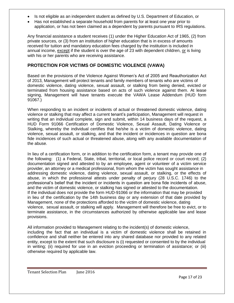- Is not eligible as an independent student as defined by U.S. Department of Education, or
- Has not established a separate household from parents for at least one year prior to application, or has not been claimed as a dependent by parents pursuant to IRS regulations.

Any financial assistance a student receives (1) under the Higher Education Act of 1965, (2) from private sources, or (3) from an institution of higher education that is in excess of amounts received for tuition and mandatory education fees charged by the institution is included in annual income, except if the student is over the age of 23 with dependent children, or is living with his or her parents who are receiving assistance.

#### **PROTECTION FOR VICTIMS OF DOMESTIC VIOLENCE (VAWA)**

Based on the provisions of the Violence Against Women's Act of 2005 and Reauthorization Act of 2013, Management will protect tenants and family members of tenants who are victims of domestic violence, dating violence, sexual assault, or stalking from being denied, evicted or terminated from housing assistance based on acts of such violence against them. At lease signing, Management will have tenants execute the VAWA Lease Addendum (HUD form 91067.)

When responding to an incident or incidents of actual or threatened domestic violence, dating violence or stalking that may affect a current tenant's participation, Management will request in writing that an individual complete, sign and submit, within 14 business days of the request, a HUD Form 91066 Certification of Domestic Violence, Sexual Assault, Dating Violence or Stalking, whereby the individual certifies that he/she is a victim of domestic violence, dating violence, sexual assault, or stalking, and that the incident or incidences in question are bona fide incidences of such actual or threatened abuse, along with any available documentation of the abuse.

In lieu of a certification form, or in addition to the certification form, a tenant may provide one of the following: (1) a Federal, State, tribal, territorial, or local police record or court record; (2) documentation signed and attested to by an employee, agent or volunteer of a victim service provider, an attorney or a medical professional, from whom the victim has sought assistance in addressing domestic violence, dating violence, sexual assault, or stalking, or the effects of abuse, in which the professional attests under penalty of perjury (28 U.S.C. 1746) to the professional's belief that the incident or incidents in question are bona fide incidents of abuse, and the victim of domestic violence, or stalking has signed or attested to the documentation. If the individual does not provide the form HUD-91066 or the information that may be provided in lieu of the certification by the 14th business day or any extension of that date provided by Management, none of the protections afforded to the victim of domestic violence, dating violence, sexual assault, or stalking will apply. Management will therefore be free to evict, or to terminate assistance, in the circumstances authorized by otherwise applicable law and lease provisions.

All information provided to Management relating to the incident(s) of domestic violence, including the fact that an individual is a victim of domestic violence shall be retained in confidence and shall neither be entered into any shared database nor provided to any related entity, except to the extent that such disclosure is (i) requested or consented to by the individual in writing; (ii) required for use in an eviction proceeding or termination of assistance; or (iii) otherwise required by applicable law.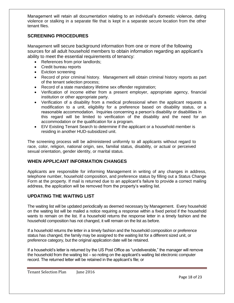Management will retain all documentation relating to an individual's domestic violence, dating violence or stalking in a separate file that is kept in a separate secure location from the other tenant files.

#### **SCREENING PROCEDURES**

Management will secure background information from one or more of the following sources for all adult household members to obtain information regarding an applicant's ability to meet the essential requirements of tenancy:

- References from prior landlords;
- Credit bureau reports
- Eviction screening
- Record of prior criminal history. Management will obtain criminal history reports as part of the tenant selection process;
- Record of a state mandatory lifetime sex offender registration;
- Verification of income either from a present employer, appropriate agency, financial institution or other appropriate party.
- Verification of a disability from a medical professional when the applicant requests a modification to a unit, eligibility for a preference based on disability status, or a reasonable accommodation. Inquiries concerning a person's disability or disabilities in this regard will be limited to verification of the disability and the need for an accommodation or the qualification for a program.
- EIV Existing Tenant Search to determine if the applicant or a household member is residing in another HUD-subsidized unit.

The screening process will be administered uniformly to all applicants without regard to race, color, religion, national origin, sex, familial status, disability, or actual or perceived sexual orientation, gender identity, or marital status.

#### **WHEN APPLICANT INFORMATION CHANGES**

Applicants are responsible for informing Management in writing of any changes in address, telephone number, household composition, and preference status by filling out a Status Change Form at the property. If mail is returned due to an applicant's failure to provide a correct mailing address, the application will be removed from the property's waiting list.

#### **UPDATING THE WAITING LIST**

The waiting list will be updated periodically as deemed necessary by Management. Every household on the waiting list will be mailed a notice requiring a response within a fixed period if the household wants to remain on the list. If a household returns the response letter in a timely fashion and the household composition has not changed, it will remain on the list as before.

If a household returns the letter in a timely fashion and the household composition or preference status has changed, the family may be assigned to the waiting list for a different sized unit, or preference category, but the original application date will be retained.

If a household's letter is returned by the US Post Office as "undeliverable," the manager will remove the household from the waiting list – so noting on the applicant's waiting list electronic computer record. The returned letter will be retained in the applicant's file; or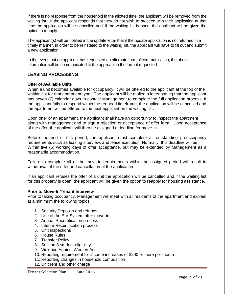If there is no response from the household in the allotted time, the applicant will be removed from the waiting list. If the applicant responds that they do not wish to proceed with their application at that time the application will be cancelled and, if the waiting list is open, the applicant will be given the option to reapply.

The applicant(s) will be notified in the update letter that if the update application is not returned in a timely manner, in order to be reinstated to the waiting list, the applicant will have to fill out and submit a new application.

In the event that an applicant has requested an alternate form of communication, the above information will be communicated to the applicant in the format requested.

#### **LEASING PROCESSING**

#### **Offer of Available Units**

When a unit becomes available for occupancy, it will be offered to the applicant at the top of the waiting list for that apartment type. The applicant will be mailed a letter stating that the applicant has seven (7) calendar days to contact Management to complete the full application process. If the applicant fails to respond within the required timeframe, the application will be cancelled and the apartment will be offered to the next applicant on the waiting list.

Upon offer of an apartment, the applicant shall have an opportunity to inspect the apartment along with management and to sign a rejection or acceptance of offer form. Upon acceptance of the offer, the applicant will then be assigned a deadline for move-in.

Before the end of this period, the applicant must complete all outstanding preoccupancy requirements such as leasing interview, and lease execution. Normally, this deadline will be Within five (5) working days of offer acceptance, but may be extended by Management as a reasonable accommodation.

Failure to complete all of the move-in requirements within the assigned period will result in withdrawal of the offer and cancellation of the application.

If an applicant refuses the offer of a unit the application will be cancelled and if the waiting list for this property is open, the applicant will be given the option to reapply for housing assistance.

#### **Prior to Move-In/Tenant Interview**

Prior to taking occupancy, Management will meet with all residents of the apartment and explain at a minimum the following topics:

- 1. Security Deposits and refunds
- 2. Use of the EIV System after move-in
- 3. Annual Recertification process
- 4. Interim Recertification process
- 5. Unit inspections
- 6. House Rules
- 7. Transfer Policy
- 8. Section 8 student eligibility
- 9. Violence Against Women Act
- 10. Reporting requirement for income increases of \$200 or more per month
- 11. Reporting changes in household composition
- 12. Unit rent and other charge

Tenant Selection Plan June 2016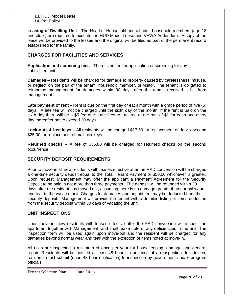13. HUD Model Lease 14. Pet Policy

**Leasing of Dwelling Unit -** The Head of Household and all adult household members (age 18 and older) are required to execute the HUD Model Lease and VAWA Addendum. A copy of the lease will be provided to the lessee and the original will be filed as part of the permanent record established for the family.

#### **CHARGES FOR FACILITIES AND SERVICES**

**Application and screening fees** - There is no fee for application or screening for any subsidized unit.

**Damages** – Residents will be charged for damage to property caused by carelessness, misuse, or neglect on the part of the tenant, household member, or visitor. The tenant is obligated to reimburse management for damages within 30 days after the tenant received a bill from management.

**Late payment of rent** – Rent is due on the first day of each month with a grace period of five (5) days. A late fee will not be charged until the sixth day of the month. If the rent is paid on the sixth day there will be a \$5 fee due. Late fees will accrue at the rate of \$1 for each and every day thereafter not to exceed 30 days.

**Lock-outs & lost keys** – All residents will be charged \$17.50 for replacement of door keys and \$25.00 for replacement of mail box keys.

**Returned checks –** A fee of \$35.00 will be charged for returned checks on the second occurrence.

#### **SECURITY DEPOSIT REQUIREMENTS**

Prior to move-in all new residents with leases effective after the RAD conversion will be charged a one-time security deposit equal to the Total Tenant Payment or \$50.00 whichever is greater. Upon request, Management may offer the applicant a Payment Agreement for the Security Deposit to be paid in not more than three payments. The deposit will be refunded within 30 days after the resident has moved out, assuming there is no damage greater than normal wear and tear to the vacated unit. Charges for damages and unpaid rent may be deducted from the security deposit. Management will provide the tenant with a detailed listing of items deducted from the security deposit within 30 days of vacating the unit.

#### **UNIT INSPECTIONS**

Upon move-in, new residents with leases effective after the RAD conversion will inspect the apartment together with Management, and shall make note of any deficiencies in the unit. The inspection form will be used again upon move-out and the resident will be charged for any damages beyond normal wear and tear with the exception of items noted at move-in.

All units are inspected a minimum of once per year for housekeeping, damage and general repair. Residents will be notified at least 48 hours in advance of an inspection. In addition, residents must submit (upon 48-hour notification) to inspection by government and/or program officials.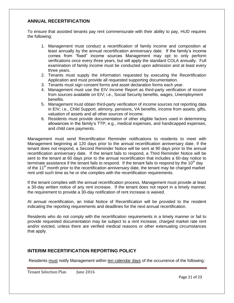#### **ANNUAL RECERTIFICATION**

To ensure that assisted tenants pay rent commensurate with their ability to pay, HUD requires the following:

- 1. Management must conduct a recertification of family income and composition at least annually by the annual recertification anniversary date. If the family's income comes from "fixed" income sources Management may opt to only perform verifications once every three years, but will apply the standard COLA annually. Full examination of family income must be conducted upon admission and at least every three years.
- 2. Tenants must supply the information requested by executing the Recertification Application and must provide all requested supporting documentation.
- 3. Tenants must sign consent forms and asset declaration forms each year.
- 4. Management must use the EIV Income Report as third-party verification of income from sources available on EIV; i.e., Social Security benefits, wages, Unemployment benefits.
- 5. Management must obtain third-party verification of income sources not reporting data in EIV; i.e., Child Support, alimony, pensions, VA benefits, income from assets, gifts, valuation of assets and all other sources of income.
- 6. Residents must provide documentation of other eligible factors used in determining allowances in the family's TTP; e.g., medical expenses, and handicapped expenses, and child care payments.

Management must send Recertification Reminder notifications to residents to meet with Management beginning at 120 days prior to the annual recertification anniversary date. If the tenant does not respond, a Second Reminder Notice will be sent at 90 days prior to the annual recertification anniversary date. If the tenant fails to respond, a Third Reminder Notice will be sent to the tenant at 60 days prior to the annual recertification that includes a 60-day notice to terminate assistance if the tenant fails to respond. If the tenant fails to respond by the  $10<sup>th</sup>$  day of the 11<sup>th</sup> month prior to the recertification anniversary date, the tenant may be charged market rent until such time as he or she complies with the recertification requirements.

If the tenant complies with the annual recertification process, Management must provide at least a 30-day written notice of any rent increase. If the tenant does not report in a timely manner, the requirement to provide a 30-day notification of rent increase is waived.

At annual recertification, an Initial Notice of Recertification will be provided to the resident indicating the reporting requirements and deadlines for the next annual recertification.

Residents who do not comply with the recertification requirements in a timely manner or fail to provide requested documentation may be subject to a rent increase, charged market rate rent and/or evicted, unless there are verified medical reasons or other extenuating circumstances that apply.

#### **INTERIM RECERTIFICATION REPORTING POLICY**

Residents must notify Management within ten calendar days of the occurrence of the following: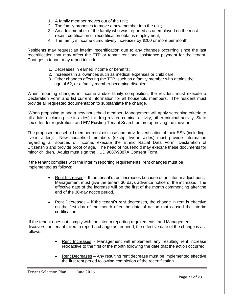- 1. A family member moves out of the unit;
- 2. The family proposes to move a new member into the unit;
- 3. An adult member of the family who was reported as unemployed on the most recent certification or recertification obtains employment;
- 4. The family's income cumulatively increases by \$200 or more per month.

Residents may request an interim recertification due to any changes occurring since the last recertification that may affect the TTP or tenant rent and assistance payment for the tenant. Changes a tenant may report include:

- 1. Decreases in earned income or benefits;
- 2. Increases in allowances such as medical expenses or child care;
- 3. Other changes affecting the TTP, such as a family member who attains the age of 62, or a family member becoming disabled.

When reporting changes in income and/or family composition, the resident must execute a Declaration Form and list current information for all household members. The resident must provide all requested documentation to substantiate the change.

When proposing to add a new household member, Management will apply screening criteria to all adults (including live-in aides) for drug related criminal activity, other criminal activity, State sex offender registration, and EIV Existing Tenant Search before approving the move-in.

The proposed household member must disclose and provide verification of their SSN (including live-in aides). New household members (except live-in aides) must provide information regarding all sources of income, execute the Ethnic Racial Data Form, Declaration of Citizenship and provide proof of age. The head of household may execute these documents for minor children. Adults must sign the HUD 9887/9887A Consent Form.

If the tenant complies with the interim reporting requirements, rent changes must be implemented as follows:

- Rent Increases If the tenant's rent increases because of an interim adjustment, Management must give the tenant 30 days advance notice of the increase. The effective date of the increase will be the first of the month commencing after the end of the 30-day notice period.
- **Rent Decreases** If the tenant's rent decreases, the change in rent is effective on the first day of the month after the date of action that caused the interim certification.

If the tenant does not comply with the interim reporting requirements, and Management discovers the tenant failed to report a change as required, the effective date of the change is as follows:

- Rent Increases Management will implement any resulting rent increase retroactive to the first of the month following the date that the action occurred.
- Rent Decreases Any resulting rent decrease must be implemented effective the first rent period following completion of the recertification